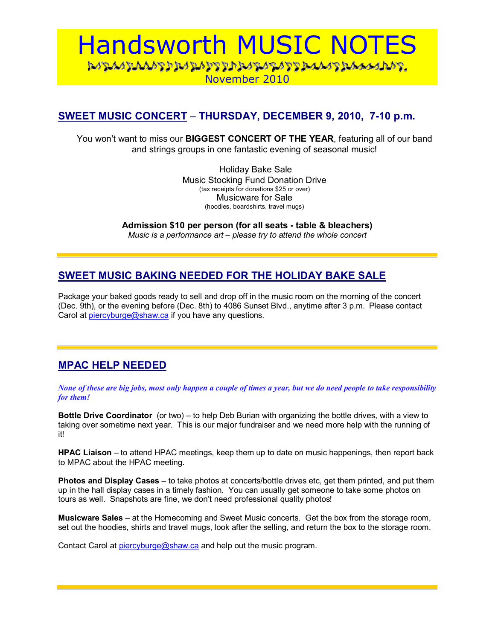# Handsworth MUSIC NOTES November 2010

# **SWEET MUSIC CONCERT – THURSDAY, DECEMBER 9, 2010, 7-10 p.m.**

You won't want to miss our **BIGGEST CONCERT OF THE YEAR**, featuring all of our band and strings groups in one fantastic evening of seasonal music!

> Holiday Bake Sale Music Stocking Fund Donation Drive (tax receipts for donations \$25 or over) Musicware for Sale (hoodies, boardshirts, travel mugs)

**Admission \$10 per person (for all seats - table & bleachers)**  *Music is a performance art – please try to attend the whole concert* 

# **SWEET MUSIC BAKING NEEDED FOR THE HOLIDAY BAKE SALE**

Package your baked goods ready to sell and drop off in the music room on the morning of the concert (Dec. 9th), or the evening before (Dec. 8th) to 4086 Sunset Blvd., anytime after 3 p.m.Please contact Carol at piercyburge@shaw.ca if you have any questions.

# **MPAC HELP NEEDED**

*None of these are big jobs, most only happen a couple of times a year, but we do need people to take responsibility for them!* 

**Bottle Drive Coordinator** (or two) – to help Deb Burian with organizing the bottle drives, with a view to taking over sometime next year. This is our major fundraiser and we need more help with the running of it!

**HPAC Liaison** – to attend HPAC meetings, keep them up to date on music happenings, then report back to MPAC about the HPAC meeting.

**Photos and Display Cases** – to take photos at concerts/bottle drives etc, get them printed, and put them up in the hall display cases in a timely fashion. You can usually get someone to take some photos on tours as well. Snapshots are fine, we don't need professional quality photos!

**Musicware Sales** – at the Homecoming and Sweet Music concerts. Get the box from the storage room, set out the hoodies, shirts and travel mugs, look after the selling, and return the box to the storage room.

Contact Carol at piercyburge@shaw.ca and help out the music program.